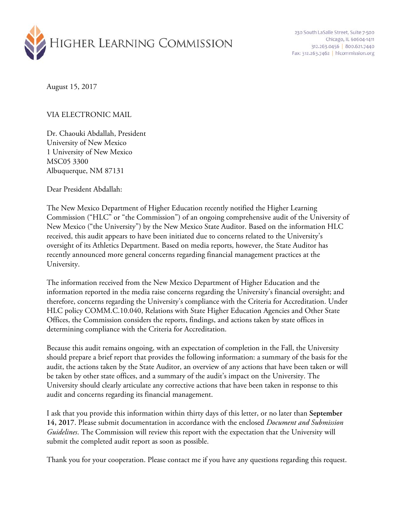

230 South LaSalle Street, Suite 7-500 Chicago, IL 60604-1411 312.263.0456 800.621.7440 Fax: 312.263.7462 | hlcommission.org

August 15, 2017

## VIA ELECTRONIC MAIL

Dr. Chaouki Abdallah, President University of New Mexico 1 University of New Mexico MSC05 3300 Albuquerque, NM 87131

Dear President Abdallah:

The New Mexico Department of Higher Education recently notified the Higher Learning Commission ("HLC" or "the Commission") of an ongoing comprehensive audit of the University of New Mexico ("the University") by the New Mexico State Auditor. Based on the information HLC received, this audit appears to have been initiated due to concerns related to the University's oversight of its Athletics Department. Based on media reports, however, the State Auditor has recently announced more general concerns regarding financial management practices at the University.

The information received from the New Mexico Department of Higher Education and the information reported in the media raise concerns regarding the University's financial oversight; and therefore, concerns regarding the University's compliance with the Criteria for Accreditation. Under HLC policy COMM.C.10.040, Relations with State Higher Education Agencies and Other State Offices, the Commission considers the reports, findings, and actions taken by state offices in determining compliance with the Criteria for Accreditation.

Because this audit remains ongoing, with an expectation of completion in the Fall, the University should prepare a brief report that provides the following information: a summary of the basis for the audit, the actions taken by the State Auditor, an overview of any actions that have been taken or will be taken by other state offices, and a summary of the audit's impact on the University. The University should clearly articulate any corrective actions that have been taken in response to this audit and concerns regarding its financial management.

I ask that you provide this information within thirty days of this letter, or no later than **September 14, 2017**. Please submit documentation in accordance with the enclosed *Document and Submission Guidelines*. The Commission will review this report with the expectation that the University will submit the completed audit report as soon as possible.

Thank you for your cooperation. Please contact me if you have any questions regarding this request.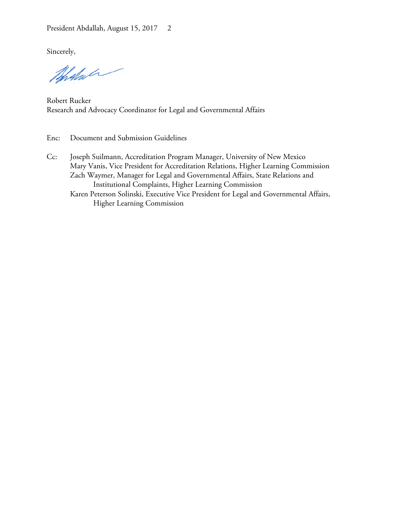Sincerely,

Whatson

Robert Rucker Research and Advocacy Coordinator for Legal and Governmental Affairs

- Enc: Document and Submission Guidelines
- Cc: Joseph Suilmann, Accreditation Program Manager, University of New Mexico Mary Vanis, Vice President for Accreditation Relations, Higher Learning Commission Zach Waymer, Manager for Legal and Governmental Affairs, State Relations and Institutional Complaints, Higher Learning Commission Karen Peterson Solinski, Executive Vice President for Legal and Governmental Affairs, Higher Learning Commission